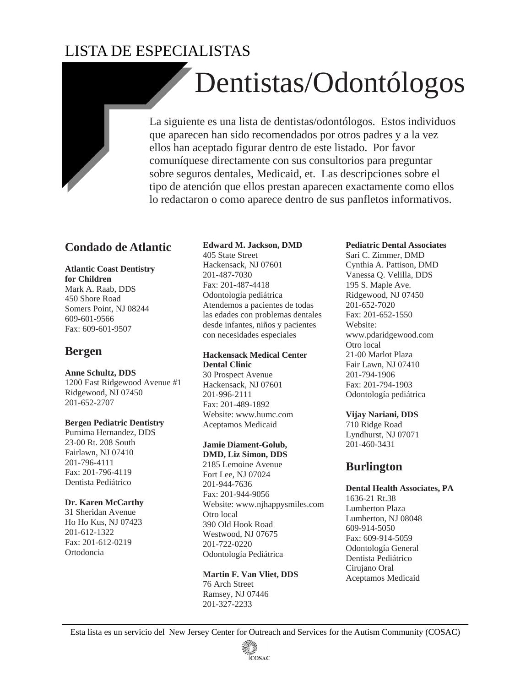# LISTA DE ESPECIALISTAS

# Dentistas/Odontólogos

La siguiente es una lista de dentistas/odontólogos. Estos individuos que aparecen han sido recomendados por otros padres y a la vez ellos han aceptado figurar dentro de este listado. Por favor comuníquese directamente con sus consultorios para preguntar sobre seguros dentales, Medicaid, et. Las descripciones sobre el tipo de atención que ellos prestan aparecen exactamente como ellos lo redactaron o como aparece dentro de sus panfletos informativos.

# **Condado de Atlantic**

**Atlantic Coast Dentistry for Children**  Mark A. Raab, DDS

450 Shore Road Somers Point, NJ 08244 609-601-9566 Fax: 609-601-9507

# **Bergen**

# **Anne Schultz, DDS**

1200 East Ridgewood Avenue #1 Ridgewood, NJ 07450 201-652-2707

## **Bergen Pediatric Dentistry**

Purnima Hernandez, DDS 23-00 Rt. 208 South Fairlawn, NJ 07410 201-796-4111 Fax: 201-796-4119 Dentista Pediátrico

# **Dr. Karen McCarthy**

31 Sheridan Avenue Ho Ho Kus, NJ 07423 201-612-1322 Fax: 201-612-0219 Ortodoncia

# **Edward M. Jackson, DMD**

405 State Street Hackensack, NJ 07601 201-487-7030 Fax: 201-487-4418 Odontología pediátrica Atendemos a pacientes de todas las edades con problemas dentales desde infantes, niños y pacientes con necesidades especiales

# **Hackensack Medical Center Dental Clinic**

30 Prospect Avenue Hackensack, NJ 07601 201-996-2111 Fax: 201-489-1892 Website: www.humc.com Aceptamos Medicaid

# **Jamie Diament-Golub,**

**DMD, Liz Simon, DDS**  2185 Lemoine Avenue Fort Lee, NJ 07024 201-944-7636 Fax: 201-944-9056 Website: www.njhappysmiles.com Otro local 390 Old Hook Road Westwood, NJ 07675 201-722-0220 Odontología Pediátrica

# **Martin F. Van Vliet, DDS**

76 Arch Street Ramsey, NJ 07446 201-327-2233

## **Pediatric Dental Associates**

Sari C. Zimmer, DMD Cynthia A. Pattison, DMD Vanessa Q. Velilla, DDS 195 S. Maple Ave. Ridgewood, NJ 07450 201-652-7020 Fax: 201-652-1550 Website: www.pdaridgewood.com Otro local 21-00 Marlot Plaza Fair Lawn, NJ 07410 201-794-1906 Fax: 201-794-1903 Odontología pediátrica

# **Vijay Nariani, DDS**

710 Ridge Road Lyndhurst, NJ 07071 201-460-3431

# **Burlington**

# **Dental Health Associates, PA**

1636-21 Rt.38 Lumberton Plaza Lumberton, NJ 08048 609-914-5050 Fax: 609-914-5059 Odontología General Dentista Pediátrico Cirujano Oral Aceptamos Medicaid

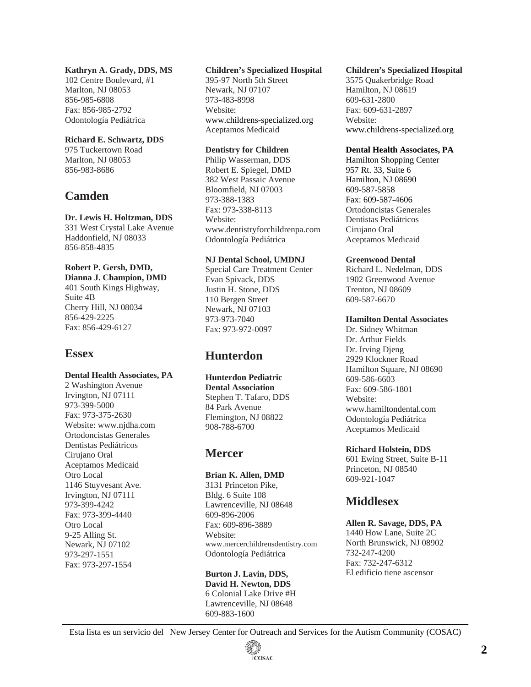## **Kathryn A. Grady, DDS, MS**

102 Centre Boulevard, #1 Marlton, NJ 08053 856-985-6808 Fax: 856-985-2792 Odontología Pediátrica

## **Richard E. Schwartz, DDS**

975 Tuckertown Road Marlton, NJ 08053 856-983-8686

# **Camden**

# **Dr. Lewis H. Holtzman, DDS**

331 West Crystal Lake Avenue Haddonfield, NJ 08033 856-858-4835

## **Robert P. Gersh, DMD,**

**Dianna J. Champion, DMD**  401 South Kings Highway, Suite 4B Cherry Hill, NJ 08034 856-429-2225 Fax: 856-429-6127

# **Essex**

# **Dental Health Associates, PA**

2 Washington Avenue Irvington, NJ 07111 973-399-5000 Fax: 973-375-2630 Website: www.njdha.com Ortodoncistas Generales Dentistas Pediátricos Cirujano Oral Aceptamos Medicaid Otro Local 1146 Stuyvesant Ave. Irvington, NJ 07111 973-399-4242 Fax: 973-399-4440 Otro Local 9-25 Alling St. Newark, NJ 07102 973-297-1551 Fax: 973-297-1554

# **Children's Specialized Hospital**

395-97 North 5th Street Newark, NJ 07107 973-483-8998 Website: www.childrens-specialized.org Aceptamos Medicaid

# **Dentistry for Children**

Philip Wasserman, DDS Robert E. Spiegel, DMD 382 West Passaic Avenue Bloomfield, NJ 07003 973-388-1383 Fax: 973-338-8113 Website: www.dentistryforchildrenpa.com Odontología Pediátrica

# **NJ Dental School, UMDNJ**

Special Care Treatment Center Evan Spivack, DDS Justin H. Stone, DDS 110 Bergen Street Newark, NJ 07103 973-973-7040 Fax: 973-972-0097

# **Hunterdon**

# **Hunterdon Pediatric**

**Dental Association**  Stephen T. Tafaro, DDS 84 Park Avenue Flemington, NJ 08822 908-788-6700

# **Mercer**

# **Brian K. Allen, DMD**

3131 Princeton Pike, Bldg. 6 Suite 108 Lawrenceville, NJ 08648 609-896-2006 Fax: 609-896-3889 Website: www.mercerchildrensdentistry.com Odontología Pediátrica

#### **Burton J. Lavin, DDS, David H. Newton, DDS**  6 Colonial Lake Drive #H Lawrenceville, NJ 08648 609-883-1600

## **Children's Specialized Hospital**

3575 Quakerbridge Road Hamilton, NJ 08619 609-631-2800 Fax: 609-631-2897 Website: www.childrens-specialized.org

# **Dental Health Associates, PA**

Hamilton Shopping Center 957 Rt. 33, Suite 6 Hamilton, NJ 08690 609-587-5858 Fax: 609-587-4606 Ortodoncistas Generales Dentistas Pediátricos Cirujano Oral Aceptamos Medicaid

# **Greenwood Dental**

Richard L. Nedelman, DDS 1902 Greenwood Avenue Trenton, NJ 08609 609-587-6670

# **Hamilton Dental Associates**

Dr. Sidney Whitman Dr. Arthur Fields Dr. Irving Djeng 2929 Klockner Road Hamilton Square, NJ 08690 609-586-6603 Fax: 609-586-1801 Website: www.hamiltondental.com Odontología Pediátrica Aceptamos Medicaid

# **Richard Holstein, DDS**

601 Ewing Street, Suite B-11 Princeton, NJ 08540 609-921-1047

# **Middlesex**

# **Allen R. Savage, DDS, PA**

1440 How Lane, Suite 2C North Brunswick, NJ 08902 732-247-4200 Fax: 732-247-6312 El edificio tiene ascensor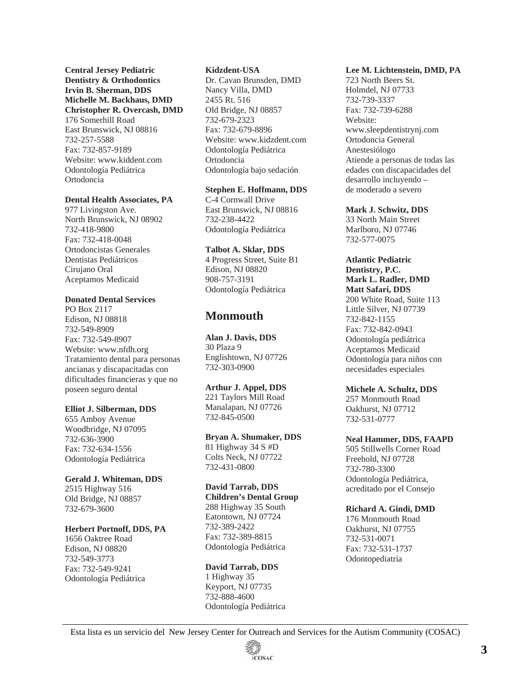**Central Jersey Pediatric Dentistry & Orthodontics Irvin B. Sherman, DDS Michelle M. Backhaus, DMD Christopher R. Overcash, DMD**  176 Somerhill Road East Brunswick, NJ 08816 732-257-5588 Fax: 732-857-9189 Website: www.kiddent.com Odontología Pediátrica

# **Dental Health Associates, PA**

Ortodoncia

977 Livingston Ave. North Brunswick, NJ 08902 732-418-9800 Fax: 732-418-0048 Ortodoncistas Generales Dentistas Pediátricos Cirujano Oral Aceptamos Medicaid

#### **Donated Dental Services**

PO Box 2117 Edison, NJ 08818 732-549-8909 Fax: 732-549-8907 Website: www.nfdh.org Tratamiento dental para personas ancianas y discapacitadas con dificultades financieras y que no poseen seguro dental

#### **Elliot J. Silberman, DDS**

655 Amboy Avenue Woodbridge, NJ 07095 732-636-3900 Fax: 732-634-1556 Odontología Pediátrica

## **Gerald J. Whiteman, DDS**

2515 Highway 516 Old Bridge, NJ 08857 732-679-3600

## **Herbert Portnoff, DDS, PA**

1656 Oaktree Road Edison, NJ 08820 732-549-3773 Fax: 732-549-9241 Odontología Pediátrica

#### **Kidzdent-USA**

Dr. Cavan Brunsden, DMD Nancy Villa, DMD 2455 Rt. 516 Old Bridge, NJ 08857 732-679-2323 Fax: 732-679-8896 Website: www.kidzdent.com Odontología Pediátrica Ortodoncia Odontología bajo sedación

## **Stephen E. Hoffmann, DDS**

C-4 Cornwall Drive East Brunswick, NJ 08816 732-238-4422 Odontología Pediátrica

#### **Talbot A. Sklar, DDS**

4 Progress Street, Suite B1 Edison, NJ 08820 908-757-3191 Odontología Pediátrica

# **Monmouth**

**Alan J. Davis, DDS**  30 Plaza 9 Englishtown, NJ 07726 732-303-0900

#### **Arthur J. Appel, DDS**

221 Taylors Mill Road Manalapan, NJ 07726 732-845-0500

# **Bryan A. Shumaker, DDS**

81 Highway 34 S #D Colts Neck, NJ 07722 732-431-0800

# **David Tarrab, DDS**

**Children's Dental Group**  288 Highway 35 South Eatontown, NJ 07724 732-389-2422 Fax: 732-389-8815 Odontología Pediátrica

#### **David Tarrab, DDS**

1 Highway 35 Keyport, NJ 07735 732-888-4600 Odontología Pediátrica

## **Lee M. Lichtenstein, DMD, PA**

723 North Beers St. Holmdel, NJ 07733 732-739-3337 Fax: 732-739-6288 Website: www.sleepdentistrynj.com Ortodoncia General Anestesiólogo Atiende a personas de todas las edades con discapacidades del desarrollo incluyendo – de moderado a severo

#### **Mark J. Schwitz, DDS**

33 North Main Street Marlboro, NJ 07746 732-577-0075

## **Atlantic Pediatric Dentistry, P.C. Mark L. Radler, DMD Matt Safari, DDS**

200 White Road, Suite 113 Little Silver, NJ 07739 732-842-1155 Fax: 732-842-0943 Odontología pediátrica Aceptamos Medicaid Odontología para niños con necesidades especiales

# **Michele A. Schultz, DDS**

257 Monmouth Road Oakhurst, NJ 07712 732-531-0777

#### **Neal Hammer, DDS, FAAPD**

505 Stillwells Corner Road Freehold, NJ 07728 732-780-3300 Odontología Pediátrica, acreditado por el Consejo

#### **Richard A. Gindi, DMD**

176 Monmouth Road Oakhurst, NJ 07755 732-531-0071 Fax: 732-531-1737 Odontopediatría

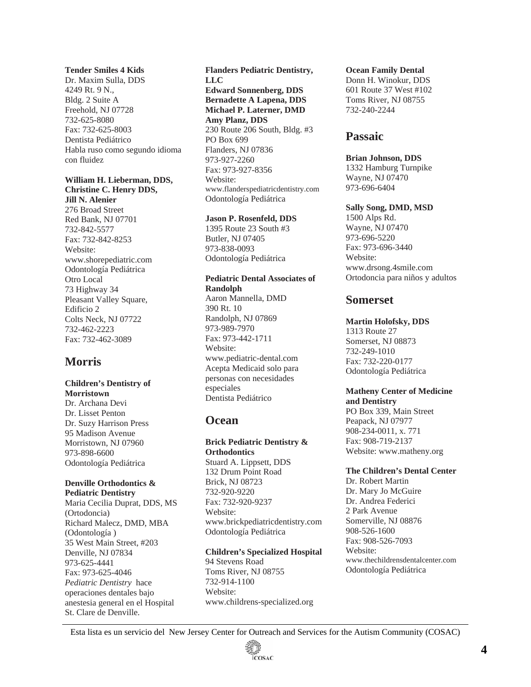#### **Tender Smiles 4 Kids**

Dr. Maxim Sulla, DDS 4249 Rt. 9 N., Bldg. 2 Suite A Freehold, NJ 07728 732-625-8080 Fax: 732-625-8003 Dentista Pediátrico Habla ruso como segundo idioma con fluidez

#### **William H. Lieberman, DDS, Christine C. Henry DDS, Jill N. Alenier**

276 Broad Street Red Bank, NJ 07701 732-842-5577 Fax: 732-842-8253 Website: www.shorepediatric.com Odontología Pediátrica Otro Local 73 Highway 34 Pleasant Valley Square, Edificio 2 Colts Neck, NJ 07722 732-462-2223 Fax: 732-462-3089

# **Morris**

## **Children's Dentistry of Morristown**

Dr. Archana Devi Dr. Lisset Penton Dr. Suzy Harrison Press 95 Madison Avenue Morristown, NJ 07960 973-898-6600 Odontología Pediátrica

#### **Denville Orthodontics & Pediatric Dentistry**

Maria Cecilia Duprat, DDS, MS (Ortodoncia) Richard Malecz, DMD, MBA (Odontología ) 35 West Main Street, #203 Denville, NJ 07834 973-625-4441 Fax: 973-625-4046 *Pediatric Dentistry* hace operaciones dentales bajo anestesia general en el Hospital St. Clare de Denville.

**Flanders Pediatric Dentistry, LLC Edward Sonnenberg, DDS Bernadette A Lapena, DDS Michael P. Laterner, DMD Amy Planz, DDS**  230 Route 206 South, Bldg. #3 PO Box 699 Flanders, NJ 07836 973-927-2260 Fax: 973-927-8356 Website: www.flanderspediatricdentistry.com Odontología Pediátrica

#### **Jason P. Rosenfeld, DDS**

1395 Route 23 South #3 Butler, NJ 07405 973-838-0093 Odontología Pediátrica

# **Pediatric Dental Associates of Randolph**

Aaron Mannella, DMD 390 Rt. 10 Randolph, NJ 07869 973-989-7970 Fax: 973-442-1711 Website: www.pediatric-dental.com Acepta Medicaid solo para personas con necesidades especiales Dentista Pediátrico

# **Ocean**

#### **Brick Pediatric Dentistry & Orthodontics**  Stuard A. Lippsett, DDS

132 Drum Point Road Brick, NJ 08723 732-920-9220 Fax: 732-920-9237 Website: www.brickpediatricdentistry.com Odontología Pediátrica

## **Children's Specialized Hospital**

94 Stevens Road Toms River, NJ 08755 732-914-1100 Website: www.childrens-specialized.org

#### **Ocean Family Dental**

Donn H. Winokur, DDS 601 Route 37 West #102 Toms River, NJ 08755 732-240-2244

# **Passaic**

#### **Brian Johnson, DDS**

1332 Hamburg Turnpike Wayne, NJ 07470 973-696-6404

## **Sally Song, DMD, MSD**

1500 Alps Rd. Wayne, NJ 07470 973-696-5220 Fax: 973-696-3440 Website: www.drsong.4smile.com Ortodoncia para niños y adultos

# **Somerset**

## **Martin Holofsky, DDS**

1313 Route 27 Somerset, NJ 08873 732-249-1010 Fax: 732-220-0177 Odontología Pediátrica

#### **Matheny Center of Medicine and Dentistry**

PO Box 339, Main Street Peapack, NJ 07977 908-234-0011, x. 771 Fax: 908-719-2137 Website: www.matheny.org

# **The Children's Dental Center**

Dr. Robert Martin Dr. Mary Jo McGuire Dr. Andrea Federici 2 Park Avenue Somerville, NJ 08876 908-526-1600 Fax: 908-526-7093 Website: www.thechildrensdentalcenter.com Odontología Pediátrica

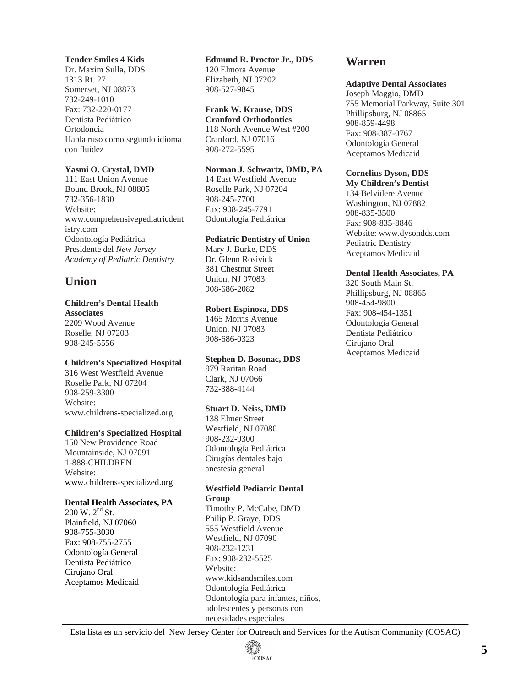## **Tender Smiles 4 Kids**

Dr. Maxim Sulla, DDS 1313 Rt. 27 Somerset, NJ 08873 732-249-1010 Fax: 732-220-0177 Dentista Pediátrico Ortodoncia Habla ruso como segundo idioma con fluidez

# **Yasmi O. Crystal, DMD**

111 East Union Avenue Bound Brook, NJ 08805 732-356-1830 Website: www.comprehensivepediatricdent istry.com Odontología Pediátrica Presidente del *New Jersey Academy of Pediatric Dentistry*

# **Union**

# **Children's Dental Health**

**Associates**  2209 Wood Avenue Roselle, NJ 07203 908-245-5556

# **Children's Specialized Hospital**

316 West Westfield Avenue Roselle Park, NJ 07204 908-259-3300 Website: www.childrens-specialized.org

## **Children's Specialized Hospital**

150 New Providence Road Mountainside, NJ 07091 1-888-CHILDREN Website: www.childrens-specialized.org

# **Dental Health Associates, PA**

 $200$  W.  $2<sup>nd</sup>$  St. Plainfield, NJ 07060 908-755-3030 Fax: 908-755-2755 Odontología General Dentista Pediátrico Cirujano Oral Aceptamos Medicaid

# **Edmund R. Proctor Jr., DDS**

120 Elmora Avenue Elizabeth, NJ 07202 908-527-9845

# **Frank W. Krause, DDS**

**Cranford Orthodontics**  118 North Avenue West #200 Cranford, NJ 07016 908-272-5595

# **Norman J. Schwartz, DMD, PA**

14 East Westfield Avenue Roselle Park, NJ 07204 908-245-7700 Fax: 908-245-7791 Odontología Pediátrica

## **Pediatric Dentistry of Union**

Mary J. Burke, DDS Dr. Glenn Rosivick 381 Chestnut Street Union, NJ 07083 908-686-2082

# **Robert Espinosa, DDS**

1465 Morris Avenue Union, NJ 07083 908-686-0323

# **Stephen D. Bosonac, DDS**

979 Raritan Road Clark, NJ 07066 732-388-4144

# **Stuart D. Neiss, DMD**

138 Elmer Street Westfield, NJ 07080 908-232-9300 Odontología Pediátrica Cirugías dentales bajo anestesia general

# **Westfield Pediatric Dental**

**Group**  Timothy P. McCabe, DMD Philip P. Graye, DDS 555 Westfield Avenue Westfield, NJ 07090 908-232-1231 Fax: 908-232-5525 Website: www.kidsandsmiles.com Odontología Pediátrica Odontología para infantes, niños, adolescentes y personas con necesidades especiales

# **Warren**

## **Adaptive Dental Associates**

Joseph Maggio, DMD 755 Memorial Parkway, Suite 301 Phillipsburg, NJ 08865 908-859-4498 Fax: 908-387-0767 Odontología General Aceptamos Medicaid

# **Cornelius Dyson, DDS**

**My Children's Dentist**  134 Belvidere Avenue Washington, NJ 07882 908-835-3500 Fax: 908-835-8846 Website: www.dysondds.com Pediatric Dentistry Aceptamos Medicaid

# **Dental Health Associates, PA**

320 South Main St. Phillipsburg, NJ 08865 908-454-9800 Fax: 908-454-1351 Odontología General Dentista Pediátrico Cirujano Oral Aceptamos Medicaid